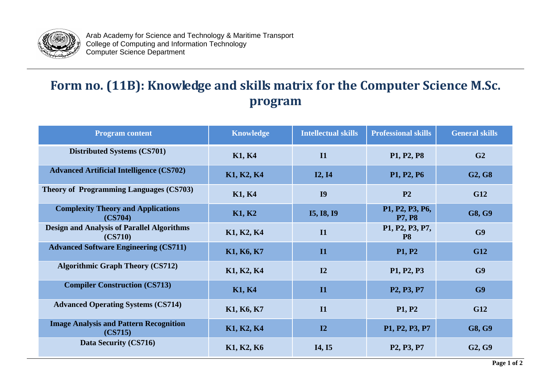

Arab Academy for Science and Technology & Maritime Transport College of Computing and Information Technology Computer Science Department

## **Form no. (11B): Knowledge and skills matrix for the Computer Science M.Sc. program**

| <b>Program content</b>                                       | <b>Knowledge</b> | <b>Intellectual skills</b> | <b>Professional skills</b>                       | <b>General skills</b>           |
|--------------------------------------------------------------|------------------|----------------------------|--------------------------------------------------|---------------------------------|
| <b>Distributed Systems (CS701)</b>                           | <b>K1, K4</b>    | <b>I1</b>                  | P1, P2, P8                                       | G2                              |
| <b>Advanced Artificial Intelligence (CS702)</b>              | K1, K2, K4       | <b>I2, I4</b>              | P1, P2, P6                                       | G <sub>2</sub> , G <sub>8</sub> |
| <b>Theory of Programming Languages (CS703)</b>               | <b>K1, K4</b>    | <b>I9</b>                  | P <sub>2</sub>                                   | G12                             |
| <b>Complexity Theory and Applications</b><br>(CS704)         | K1, K2           | <b>I5, I8, I9</b>          | P1, P2, P3, P6,<br><b>P7, P8</b>                 | G8, G9                          |
| <b>Design and Analysis of Parallel Algorithms</b><br>(CS710) | K1, K2, K4       | $\mathbf{I}$               | P1, P2, P3, P7,<br><b>P8</b>                     | G9                              |
| <b>Advanced Software Engineering (CS711)</b>                 | K1, K6, K7       | $\mathbf{I}$               | <b>P1, P2</b>                                    | <b>G12</b>                      |
| <b>Algorithmic Graph Theory (CS712)</b>                      | K1, K2, K4       | I2                         | P1, P2, P3                                       | G9                              |
| <b>Compiler Construction (CS713)</b>                         | <b>K1, K4</b>    | I1                         | P <sub>2</sub> , P <sub>3</sub> , P <sub>7</sub> | G9                              |
| <b>Advanced Operating Systems (CS714)</b>                    | K1, K6, K7       | $\mathbf{I}$               | <b>P1, P2</b>                                    | <b>G12</b>                      |
| <b>Image Analysis and Pattern Recognition</b><br>(CS715)     | K1, K2, K4       | I2                         | P1, P2, P3, P7                                   | G8, G9                          |
| Data Security (CS716)                                        | K1, K2, K6       | <b>I4, I5</b>              | P <sub>2</sub> , P <sub>3</sub> , P <sub>7</sub> | G <sub>2</sub> , G <sub>9</sub> |